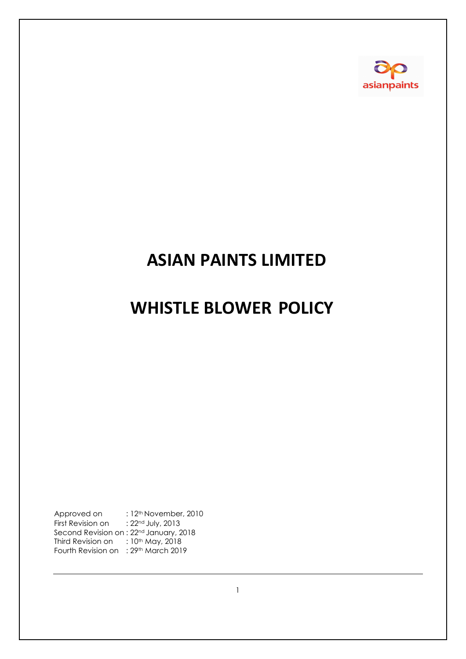

# **ASIAN PAINTS LIMITED**

# **WHISTLE BLOWER POLICY**

Approved on : 12<sup>th</sup> November, 2010 First Revision on : 22<sup>nd</sup> July, 2013 Second Revision on : 22<sup>nd</sup> January, 2018 Third Revision on  $\therefore$  10<sup>th</sup> May, 2018 Fourth Revision on : 29th March 2019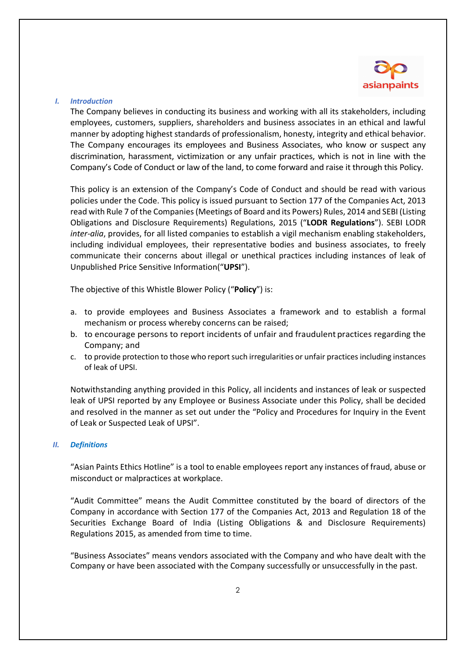

# *I. Introduction*

The Company believes in conducting its business and working with all its stakeholders, including employees, customers, suppliers, shareholders and business associates in an ethical and lawful manner by adopting highest standards of professionalism, honesty, integrity and ethical behavior. The Company encourages its employees and Business Associates, who know or suspect any discrimination, harassment, victimization or any unfair practices, which is not in line with the Company's Code of Conduct or law of the land, to come forward and raise it through this Policy.

This policy is an extension of the Company's Code of Conduct and should be read with various policies under the Code. This policy is issued pursuant to Section 177 of the Companies Act, 2013 read with Rule 7 of the Companies (Meetings of Board and its Powers) Rules, 2014 and SEBI (Listing Obligations and Disclosure Requirements) Regulations, 2015 ("**LODR Regulations**"). SEBI LODR *inter-alia*, provides, for all listed companies to establish a vigil mechanism enabling stakeholders, including individual employees, their representative bodies and business associates, to freely communicate their concerns about illegal or unethical practices including instances of leak of Unpublished Price Sensitive Information("**UPSI**").

The objective of this Whistle Blower Policy ("**Policy**") is:

- a. to provide employees and Business Associates a framework and to establish a formal mechanism or process whereby concerns can be raised;
- b. to encourage persons to report incidents of unfair and fraudulent practices regarding the Company; and
- c. to provide protection to those who report such irregularities or unfair practices including instances of leak of UPSI.

Notwithstanding anything provided in this Policy, all incidents and instances of leak or suspected leak of UPSI reported by any Employee or Business Associate under this Policy, shall be decided and resolved in the manner as set out under the "Policy and Procedures for Inquiry in the Event of Leak or Suspected Leak of UPSI".

# *II. Definitions*

"Asian Paints Ethics Hotline" is a tool to enable employees report any instances of fraud, abuse or misconduct or malpractices at workplace.

"Audit Committee" means the Audit Committee constituted by the board of directors of the Company in accordance with Section 177 of the Companies Act, 2013 and Regulation 18 of the Securities Exchange Board of India (Listing Obligations & and Disclosure Requirements) Regulations 2015, as amended from time to time.

"Business Associates" means vendors associated with the Company and who have dealt with the Company or have been associated with the Company successfully or unsuccessfully in the past.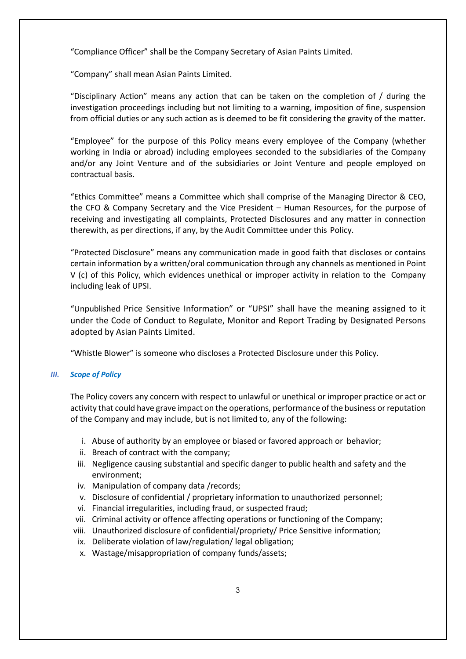"Compliance Officer" shall be the Company Secretary of Asian Paints Limited.

"Company" shall mean Asian Paints Limited.

"Disciplinary Action" means any action that can be taken on the completion of / during the investigation proceedings including but not limiting to a warning, imposition of fine, suspension from official duties or any such action as is deemed to be fit considering the gravity of the matter.

"Employee" for the purpose of this Policy means every employee of the Company (whether working in India or abroad) including employees seconded to the subsidiaries of the Company and/or any Joint Venture and of the subsidiaries or Joint Venture and people employed on contractual basis.

"Ethics Committee" means a Committee which shall comprise of the Managing Director & CEO, the CFO & Company Secretary and the Vice President – Human Resources, for the purpose of receiving and investigating all complaints, Protected Disclosures and any matter in connection therewith, as per directions, if any, by the Audit Committee under this Policy.

"Protected Disclosure" means any communication made in good faith that discloses or contains certain information by a written/oral communication through any channels as mentioned in Point V (c) of this Policy, which evidences unethical or improper activity in relation to the Company including leak of UPSI.

"Unpublished Price Sensitive Information" or "UPSI" shall have the meaning assigned to it under the Code of Conduct to Regulate, Monitor and Report Trading by Designated Persons adopted by Asian Paints Limited.

"Whistle Blower" is someone who discloses a Protected Disclosure under this Policy.

# *III. Scope of Policy*

The Policy covers any concern with respect to unlawful or unethical or improper practice or act or activity that could have grave impact on the operations, performance of the business or reputation of the Company and may include, but is not limited to, any of the following:

- i. Abuse of authority by an employee or biased or favored approach or behavior;
- ii. Breach of contract with the company;
- iii. Negligence causing substantial and specific danger to public health and safety and the environment;
- iv. Manipulation of company data /records;
- v. Disclosure of confidential / proprietary information to unauthorized personnel;
- vi. Financial irregularities, including fraud, or suspected fraud;
- vii. Criminal activity or offence affecting operations or functioning of the Company;
- viii. Unauthorized disclosure of confidential/propriety/ Price Sensitive information;
- ix. Deliberate violation of law/regulation/ legal obligation;
- x. Wastage/misappropriation of company funds/assets;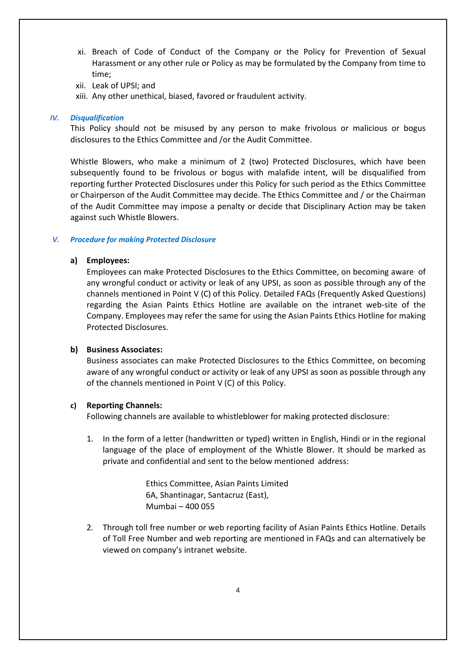- xi. Breach of Code of Conduct of the Company or the Policy for Prevention of Sexual Harassment or any other rule or Policy as may be formulated by the Company from time to time;
- xii. Leak of UPSI; and
- xiii. Any other unethical, biased, favored or fraudulent activity.

# *IV. Disqualification*

This Policy should not be misused by any person to make frivolous or malicious or bogus disclosures to the Ethics Committee and /or the Audit Committee.

Whistle Blowers, who make a minimum of 2 (two) Protected Disclosures, which have been subsequently found to be frivolous or bogus with malafide intent, will be disqualified from reporting further Protected Disclosures under this Policy for such period as the Ethics Committee or Chairperson of the Audit Committee may decide. The Ethics Committee and / or the Chairman of the Audit Committee may impose a penalty or decide that Disciplinary Action may be taken against such Whistle Blowers.

# *V. Procedure for making Protected Disclosure*

# **a) Employees:**

Employees can make Protected Disclosures to the Ethics Committee, on becoming aware of any wrongful conduct or activity or leak of any UPSI, as soon as possible through any of the channels mentioned in Point V (C) of this Policy. Detailed FAQs (Frequently Asked Questions) regarding the Asian Paints Ethics Hotline are available on the intranet web-site of the Company. Employees may refer the same for using the Asian Paints Ethics Hotline for making Protected Disclosures.

# **b) Business Associates:**

Business associates can make Protected Disclosures to the Ethics Committee, on becoming aware of any wrongful conduct or activity or leak of any UPSI as soon as possible through any of the channels mentioned in Point V (C) of this Policy.

# **c) Reporting Channels:**

Following channels are available to whistleblower for making protected disclosure:

1. In the form of a letter (handwritten or typed) written in English, Hindi or in the regional language of the place of employment of the Whistle Blower. It should be marked as private and confidential and sent to the below mentioned address:

> Ethics Committee, Asian Paints Limited 6A, Shantinagar, Santacruz (East), Mumbai – 400 055

2. Through toll free number or web reporting facility of Asian Paints Ethics Hotline. Details of Toll Free Number and web reporting are mentioned in FAQs and can alternatively be viewed on company's intranet website.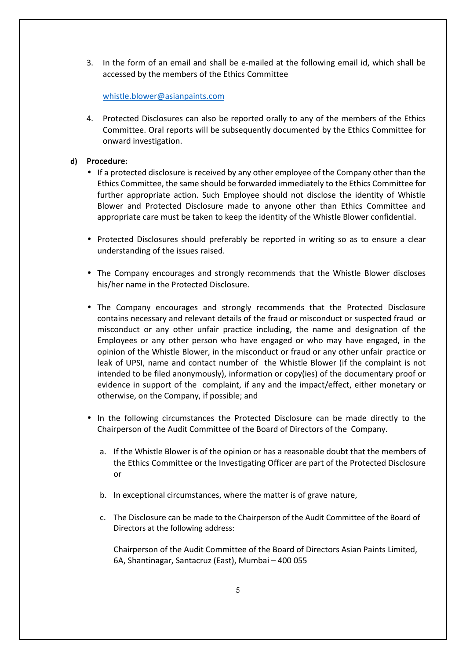3. In the form of an email and shall be e-mailed at the following email id, which shall be accessed by the members of the Ethics Committee

whistle.blower@asianpaints.com

4. Protected Disclosures can also be reported orally to any of the members of the Ethics Committee. Oral reports will be subsequently documented by the Ethics Committee for onward investigation.

# **d) Procedure:**

- If a protected disclosure is received by any other employee of the Company other than the Ethics Committee, the same should be forwarded immediately to the Ethics Committee for further appropriate action. Such Employee should not disclose the identity of Whistle Blower and Protected Disclosure made to anyone other than Ethics Committee and appropriate care must be taken to keep the identity of the Whistle Blower confidential.
- Protected Disclosures should preferably be reported in writing so as to ensure a clear understanding of the issues raised.
- The Company encourages and strongly recommends that the Whistle Blower discloses his/her name in the Protected Disclosure.
- The Company encourages and strongly recommends that the Protected Disclosure contains necessary and relevant details of the fraud or misconduct or suspected fraud or misconduct or any other unfair practice including, the name and designation of the Employees or any other person who have engaged or who may have engaged, in the opinion of the Whistle Blower, in the misconduct or fraud or any other unfair practice or leak of UPSI, name and contact number of the Whistle Blower (if the complaint is not intended to be filed anonymously), information or copy(ies) of the documentary proof or evidence in support of the complaint, if any and the impact/effect, either monetary or otherwise, on the Company, if possible; and
- In the following circumstances the Protected Disclosure can be made directly to the Chairperson of the Audit Committee of the Board of Directors of the Company.
	- a. If the Whistle Blower is of the opinion or has a reasonable doubt that the members of the Ethics Committee or the Investigating Officer are part of the Protected Disclosure or
	- b. In exceptional circumstances, where the matter is of grave nature,
	- c. The Disclosure can be made to the Chairperson of the Audit Committee of the Board of Directors at the following address:

Chairperson of the Audit Committee of the Board of Directors Asian Paints Limited, 6A, Shantinagar, Santacruz (East), Mumbai – 400 055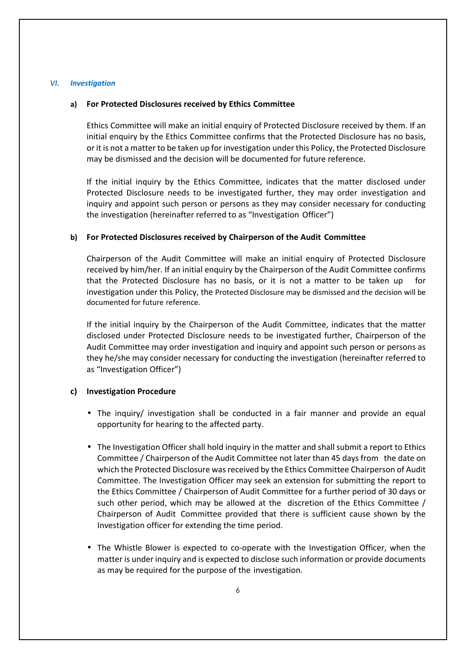#### *VI. Investigation*

# **a) For Protected Disclosures received by Ethics Committee**

Ethics Committee will make an initial enquiry of Protected Disclosure received by them. If an initial enquiry by the Ethics Committee confirms that the Protected Disclosure has no basis, or it is not a matter to be taken up for investigation under this Policy, the Protected Disclosure may be dismissed and the decision will be documented for future reference.

If the initial inquiry by the Ethics Committee, indicates that the matter disclosed under Protected Disclosure needs to be investigated further, they may order investigation and inquiry and appoint such person or persons as they may consider necessary for conducting the investigation (hereinafter referred to as "Investigation Officer")

# **b) For Protected Disclosures received by Chairperson of the Audit Committee**

Chairperson of the Audit Committee will make an initial enquiry of Protected Disclosure received by him/her. If an initial enquiry by the Chairperson of the Audit Committee confirms that the Protected Disclosure has no basis, or it is not a matter to be taken up for investigation under this Policy, the Protected Disclosure may be dismissed and the decision will be documented for future reference.

If the initial inquiry by the Chairperson of the Audit Committee, indicates that the matter disclosed under Protected Disclosure needs to be investigated further, Chairperson of the Audit Committee may order investigation and inquiry and appoint such person or persons as they he/she may consider necessary for conducting the investigation (hereinafter referred to as "Investigation Officer")

# **c) Investigation Procedure**

- The inquiry/ investigation shall be conducted in a fair manner and provide an equal opportunity for hearing to the affected party.
- The Investigation Officer shall hold inquiry in the matter and shall submit a report to Ethics Committee / Chairperson of the Audit Committee not later than 45 days from the date on which the Protected Disclosure was received by the Ethics Committee Chairperson of Audit Committee. The Investigation Officer may seek an extension for submitting the report to the Ethics Committee / Chairperson of Audit Committee for a further period of 30 days or such other period, which may be allowed at the discretion of the Ethics Committee / Chairperson of Audit Committee provided that there is sufficient cause shown by the Investigation officer for extending the time period.
- The Whistle Blower is expected to co-operate with the Investigation Officer, when the matter is under inquiry and is expected to disclose such information or provide documents as may be required for the purpose of the investigation.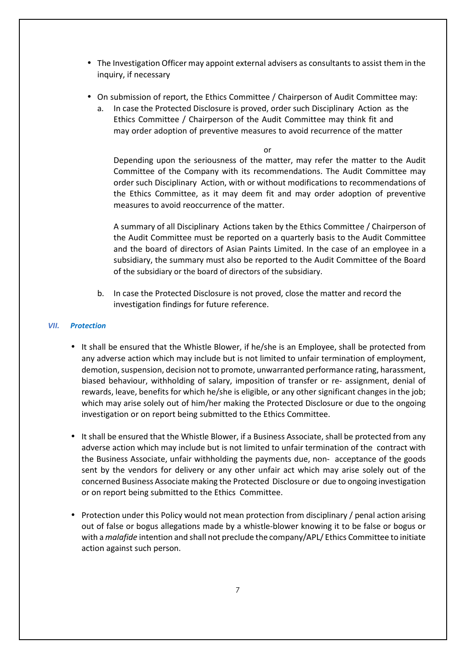- The Investigation Officer may appoint external advisers as consultants to assist them in the inquiry, if necessary
- On submission of report, the Ethics Committee / Chairperson of Audit Committee may:
	- a. In case the Protected Disclosure is proved, order such Disciplinary Action as the Ethics Committee / Chairperson of the Audit Committee may think fit and may order adoption of preventive measures to avoid recurrence of the matter

or

Depending upon the seriousness of the matter, may refer the matter to the Audit Committee of the Company with its recommendations. The Audit Committee may order such Disciplinary Action, with or without modifications to recommendations of the Ethics Committee, as it may deem fit and may order adoption of preventive measures to avoid reoccurrence of the matter.

A summary of all Disciplinary Actions taken by the Ethics Committee / Chairperson of the Audit Committee must be reported on a quarterly basis to the Audit Committee and the board of directors of Asian Paints Limited. In the case of an employee in a subsidiary, the summary must also be reported to the Audit Committee of the Board of the subsidiary or the board of directors of the subsidiary.

b. In case the Protected Disclosure is not proved, close the matter and record the investigation findings for future reference.

# *VII. Protection*

- It shall be ensured that the Whistle Blower, if he/she is an Employee, shall be protected from any adverse action which may include but is not limited to unfair termination of employment, demotion, suspension, decision not to promote, unwarranted performance rating, harassment, biased behaviour, withholding of salary, imposition of transfer or re- assignment, denial of rewards, leave, benefits for which he/she is eligible, or any other significant changes in the job; which may arise solely out of him/her making the Protected Disclosure or due to the ongoing investigation or on report being submitted to the Ethics Committee.
- It shall be ensured that the Whistle Blower, if a Business Associate, shall be protected from any adverse action which may include but is not limited to unfair termination of the contract with the Business Associate, unfair withholding the payments due, non- acceptance of the goods sent by the vendors for delivery or any other unfair act which may arise solely out of the concerned Business Associate making the Protected Disclosure or due to ongoing investigation or on report being submitted to the Ethics Committee.
- Protection under this Policy would not mean protection from disciplinary / penal action arising out of false or bogus allegations made by a whistle-blower knowing it to be false or bogus or with a *malafide* intention and shall not preclude the company/APL/ Ethics Committee to initiate action against such person.